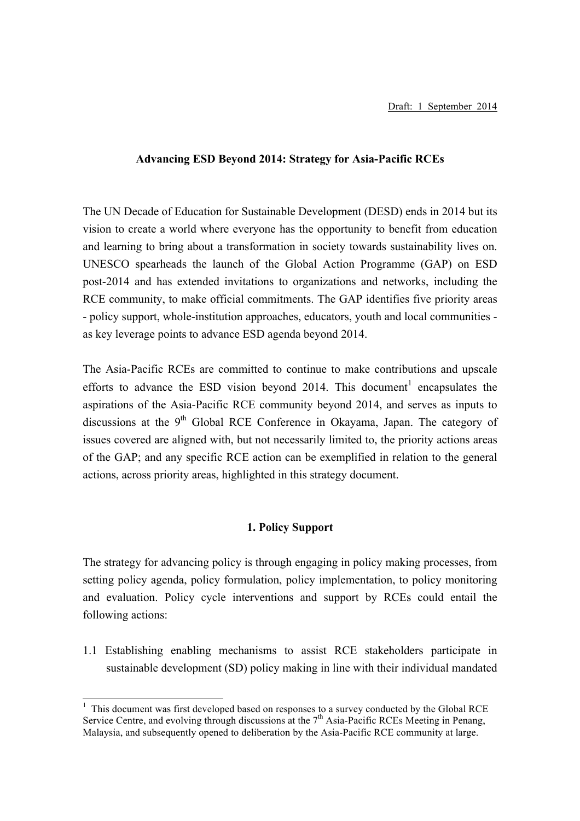### **Advancing ESD Beyond 2014: Strategy for Asia-Pacific RCEs**

The UN Decade of Education for Sustainable Development (DESD) ends in 2014 but its vision to create a world where everyone has the opportunity to benefit from education and learning to bring about a transformation in society towards sustainability lives on. UNESCO spearheads the launch of the Global Action Programme (GAP) on ESD post-2014 and has extended invitations to organizations and networks, including the RCE community, to make official commitments. The GAP identifies five priority areas - policy support, whole-institution approaches, educators, youth and local communities as key leverage points to advance ESD agenda beyond 2014.

The Asia-Pacific RCEs are committed to continue to make contributions and upscale efforts to advance the ESD vision beyond  $2014$ . This document<sup>1</sup> encapsulates the aspirations of the Asia-Pacific RCE community beyond 2014, and serves as inputs to discussions at the  $9<sup>th</sup>$  Global RCE Conference in Okayama, Japan. The category of issues covered are aligned with, but not necessarily limited to, the priority actions areas of the GAP; and any specific RCE action can be exemplified in relation to the general actions, across priority areas, highlighted in this strategy document.

# **1. Policy Support**

The strategy for advancing policy is through engaging in policy making processes, from setting policy agenda, policy formulation, policy implementation, to policy monitoring and evaluation. Policy cycle interventions and support by RCEs could entail the following actions:

1.1 Establishing enabling mechanisms to assist RCE stakeholders participate in sustainable development (SD) policy making in line with their individual mandated

 $1$ . This document was first developed based on responses to a survey conducted by the Global RCE Service Centre, and evolving through discussions at the  $7<sup>th</sup>$  Asia-Pacific RCEs Meeting in Penang. Malaysia, and subsequently opened to deliberation by the Asia-Pacific RCE community at large.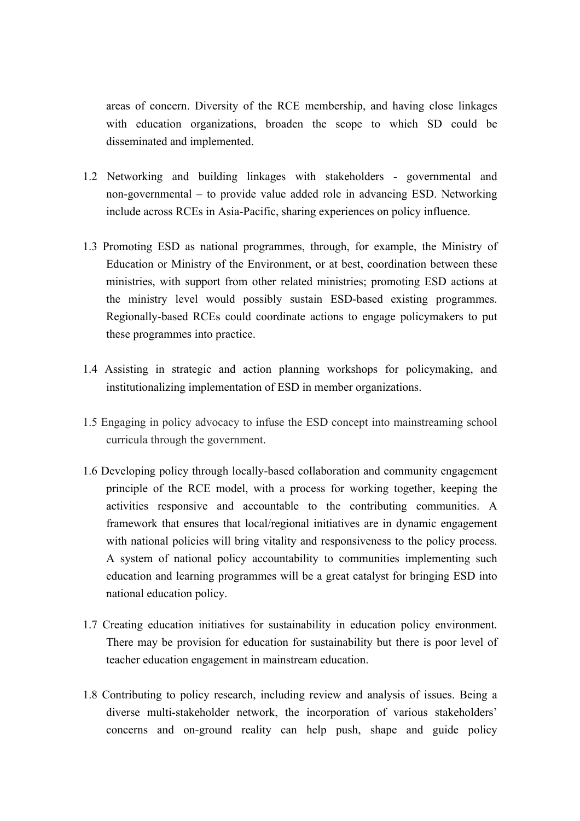areas of concern. Diversity of the RCE membership, and having close linkages with education organizations, broaden the scope to which SD could be disseminated and implemented.

- 1.2 Networking and building linkages with stakeholders governmental and non-governmental – to provide value added role in advancing ESD. Networking include across RCEs in Asia-Pacific, sharing experiences on policy influence.
- 1.3 Promoting ESD as national programmes, through, for example, the Ministry of Education or Ministry of the Environment, or at best, coordination between these ministries, with support from other related ministries; promoting ESD actions at the ministry level would possibly sustain ESD-based existing programmes. Regionally-based RCEs could coordinate actions to engage policymakers to put these programmes into practice.
- 1.4 Assisting in strategic and action planning workshops for policymaking, and institutionalizing implementation of ESD in member organizations.
- 1.5 Engaging in policy advocacy to infuse the ESD concept into mainstreaming school curricula through the government.
- 1.6 Developing policy through locally-based collaboration and community engagement principle of the RCE model, with a process for working together, keeping the activities responsive and accountable to the contributing communities. A framework that ensures that local/regional initiatives are in dynamic engagement with national policies will bring vitality and responsiveness to the policy process. A system of national policy accountability to communities implementing such education and learning programmes will be a great catalyst for bringing ESD into national education policy.
- 1.7 Creating education initiatives for sustainability in education policy environment. There may be provision for education for sustainability but there is poor level of teacher education engagement in mainstream education.
- 1.8 Contributing to policy research, including review and analysis of issues. Being a diverse multi-stakeholder network, the incorporation of various stakeholders' concerns and on-ground reality can help push, shape and guide policy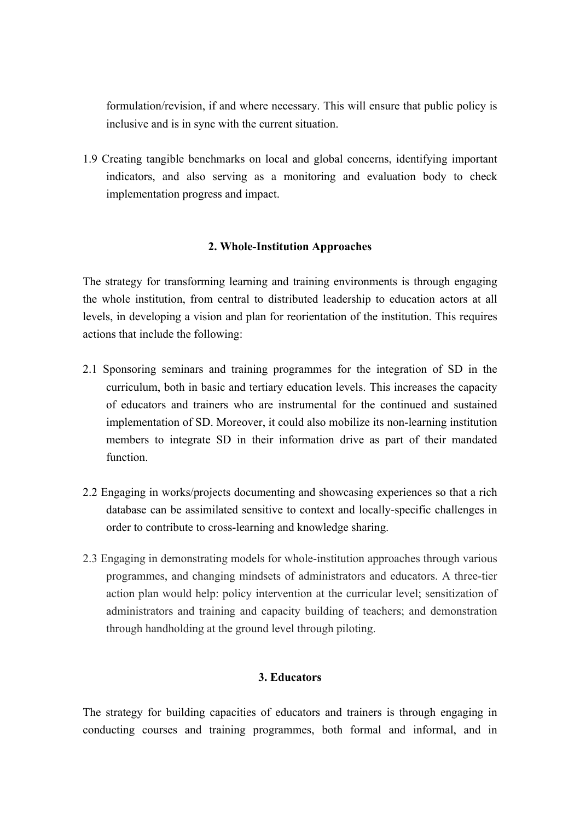formulation/revision, if and where necessary. This will ensure that public policy is inclusive and is in sync with the current situation.

1.9 Creating tangible benchmarks on local and global concerns, identifying important indicators, and also serving as a monitoring and evaluation body to check implementation progress and impact.

# **2. Whole-Institution Approaches**

The strategy for transforming learning and training environments is through engaging the whole institution, from central to distributed leadership to education actors at all levels, in developing a vision and plan for reorientation of the institution. This requires actions that include the following:

- 2.1 Sponsoring seminars and training programmes for the integration of SD in the curriculum, both in basic and tertiary education levels. This increases the capacity of educators and trainers who are instrumental for the continued and sustained implementation of SD. Moreover, it could also mobilize its non-learning institution members to integrate SD in their information drive as part of their mandated function.
- 2.2 Engaging in works/projects documenting and showcasing experiences so that a rich database can be assimilated sensitive to context and locally-specific challenges in order to contribute to cross-learning and knowledge sharing.
- 2.3 Engaging in demonstrating models for whole-institution approaches through various programmes, and changing mindsets of administrators and educators. A three-tier action plan would help: policy intervention at the curricular level; sensitization of administrators and training and capacity building of teachers; and demonstration through handholding at the ground level through piloting.

# **3. Educators**

The strategy for building capacities of educators and trainers is through engaging in conducting courses and training programmes, both formal and informal, and in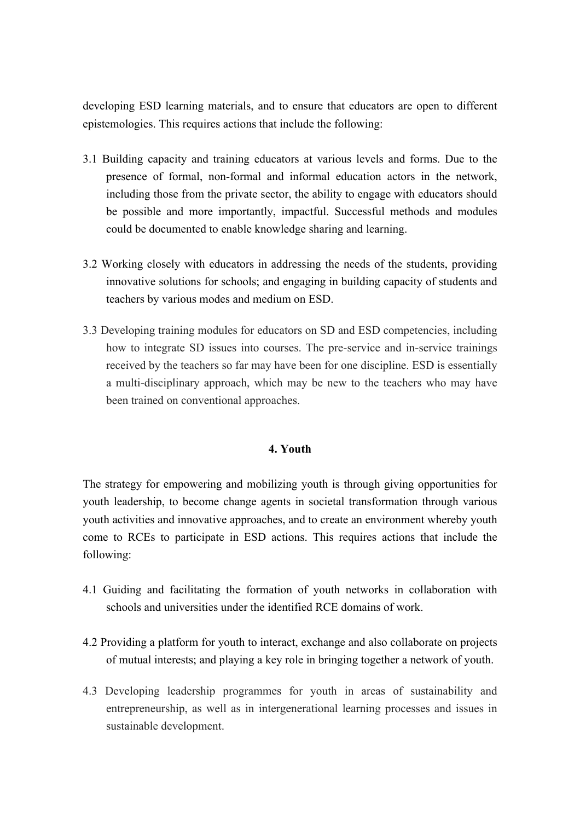developing ESD learning materials, and to ensure that educators are open to different epistemologies. This requires actions that include the following:

- 3.1 Building capacity and training educators at various levels and forms. Due to the presence of formal, non-formal and informal education actors in the network, including those from the private sector, the ability to engage with educators should be possible and more importantly, impactful. Successful methods and modules could be documented to enable knowledge sharing and learning.
- 3.2 Working closely with educators in addressing the needs of the students, providing innovative solutions for schools; and engaging in building capacity of students and teachers by various modes and medium on ESD.
- 3.3 Developing training modules for educators on SD and ESD competencies, including how to integrate SD issues into courses. The pre-service and in-service trainings received by the teachers so far may have been for one discipline. ESD is essentially a multi-disciplinary approach, which may be new to the teachers who may have been trained on conventional approaches.

### **4. Youth**

The strategy for empowering and mobilizing youth is through giving opportunities for youth leadership, to become change agents in societal transformation through various youth activities and innovative approaches, and to create an environment whereby youth come to RCEs to participate in ESD actions. This requires actions that include the following:

- 4.1 Guiding and facilitating the formation of youth networks in collaboration with schools and universities under the identified RCE domains of work.
- 4.2 Providing a platform for youth to interact, exchange and also collaborate on projects of mutual interests; and playing a key role in bringing together a network of youth.
- 4.3 Developing leadership programmes for youth in areas of sustainability and entrepreneurship, as well as in intergenerational learning processes and issues in sustainable development.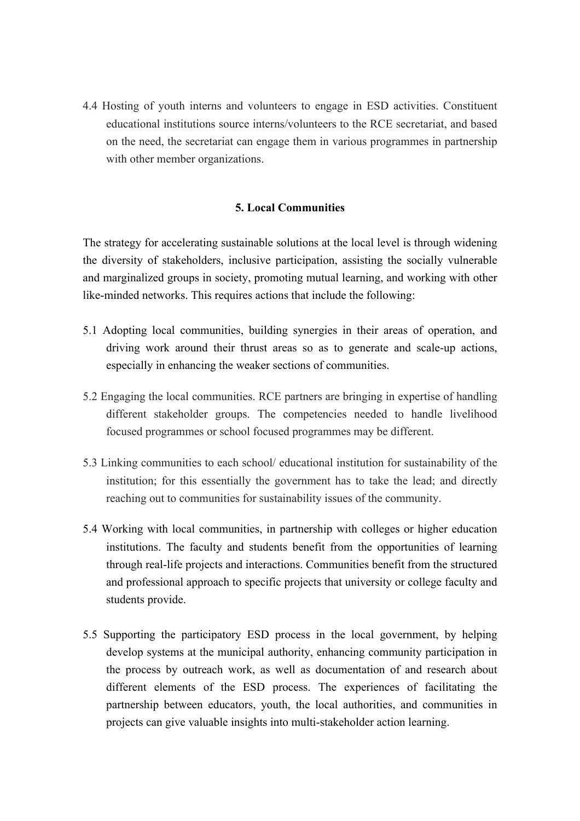4.4 Hosting of youth interns and volunteers to engage in ESD activities. Constituent educational institutions source interns/volunteers to the RCE secretariat, and based on the need, the secretariat can engage them in various programmes in partnership with other member organizations.

### **5. Local Communities**

The strategy for accelerating sustainable solutions at the local level is through widening the diversity of stakeholders, inclusive participation, assisting the socially vulnerable and marginalized groups in society, promoting mutual learning, and working with other like-minded networks. This requires actions that include the following:

- 5.1 Adopting local communities, building synergies in their areas of operation, and driving work around their thrust areas so as to generate and scale-up actions, especially in enhancing the weaker sections of communities.
- 5.2 Engaging the local communities. RCE partners are bringing in expertise of handling different stakeholder groups. The competencies needed to handle livelihood focused programmes or school focused programmes may be different.
- 5.3 Linking communities to each school/ educational institution for sustainability of the institution; for this essentially the government has to take the lead; and directly reaching out to communities for sustainability issues of the community.
- 5.4 Working with local communities, in partnership with colleges or higher education institutions. The faculty and students benefit from the opportunities of learning through real-life projects and interactions. Communities benefit from the structured and professional approach to specific projects that university or college faculty and students provide.
- 5.5 Supporting the participatory ESD process in the local government, by helping develop systems at the municipal authority, enhancing community participation in the process by outreach work, as well as documentation of and research about different elements of the ESD process. The experiences of facilitating the partnership between educators, youth, the local authorities, and communities in projects can give valuable insights into multi-stakeholder action learning.